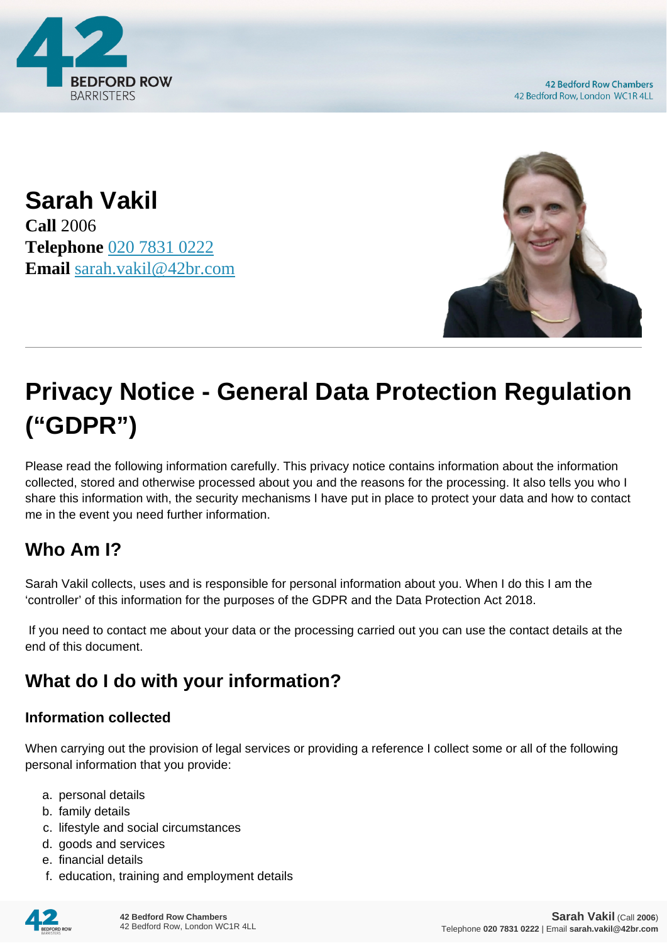

**42 Bedford Row Chambers** 42 Bedford Row, London WC1R 4LL

**Sarah Vakil Call** 2006 **Telephone** [020 7831 0222](https://pdf.codeshore.co/_42br/tel:020 7831 0222) **Email** [sarah.vakil@42br.com](mailto:sarah.vakil@42br.com)



# **Privacy Notice - General Data Protection Regulation ("GDPR")**

Please read the following information carefully. This privacy notice contains information about the information collected, stored and otherwise processed about you and the reasons for the processing. It also tells you who I share this information with, the security mechanisms I have put in place to protect your data and how to contact me in the event you need further information.

# **Who Am I?**

Sarah Vakil collects, uses and is responsible for personal information about you. When I do this I am the 'controller' of this information for the purposes of the GDPR and the Data Protection Act 2018.

 If you need to contact me about your data or the processing carried out you can use the contact details at the end of this document.

# **What do I do with your information?**

#### **Information collected**

When carrying out the provision of legal services or providing a reference I collect some or all of the following personal information that you provide:

- a. personal details
- b. family details
- c. lifestyle and social circumstances
- d. goods and services
- e. financial details
- f. education, training and employment details

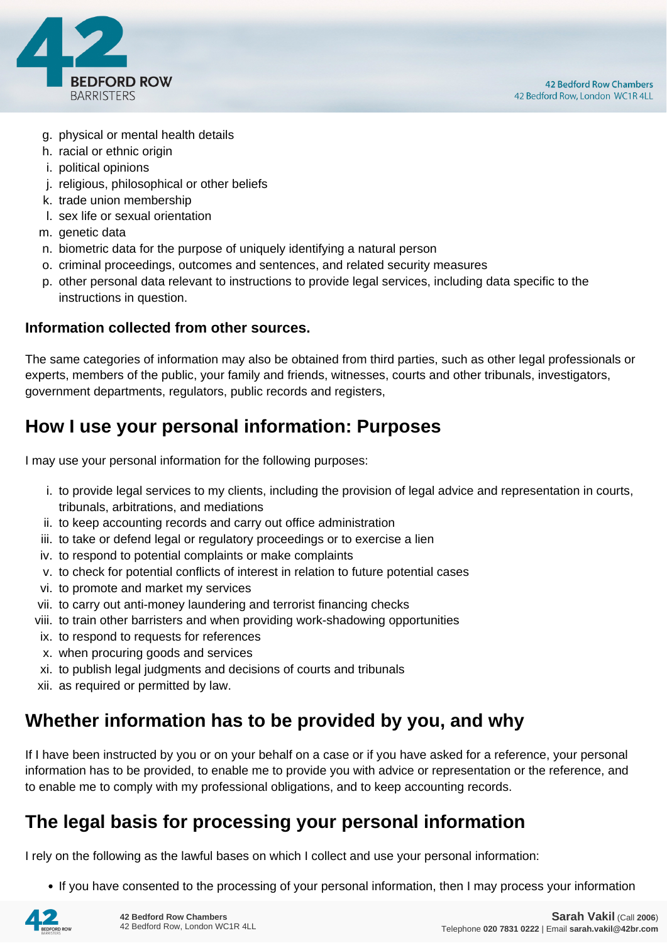

- g. physical or mental health details
- h. racial or ethnic origin
- i. political opinions
- j. religious, philosophical or other beliefs
- k. trade union membership
- l. sex life or sexual orientation
- m. genetic data
- n. biometric data for the purpose of uniquely identifying a natural person
- o. criminal proceedings, outcomes and sentences, and related security measures
- p. other personal data relevant to instructions to provide legal services, including data specific to the instructions in question.

#### **Information collected from other sources.**

The same categories of information may also be obtained from third parties, such as other legal professionals or experts, members of the public, your family and friends, witnesses, courts and other tribunals, investigators, government departments, regulators, public records and registers,

# **How I use your personal information: Purposes**

I may use your personal information for the following purposes:

- i. to provide legal services to my clients, including the provision of legal advice and representation in courts, tribunals, arbitrations, and mediations
- ii. to keep accounting records and carry out office administration
- iii. to take or defend legal or regulatory proceedings or to exercise a lien
- iv. to respond to potential complaints or make complaints
- v. to check for potential conflicts of interest in relation to future potential cases
- vi. to promote and market my services
- vii. to carry out anti-money laundering and terrorist financing checks
- viii. to train other barristers and when providing work-shadowing opportunities
- ix. to respond to requests for references
- x. when procuring goods and services
- xi. to publish legal judgments and decisions of courts and tribunals
- xii. as required or permitted by law.

# **Whether information has to be provided by you, and why**

If I have been instructed by you or on your behalf on a case or if you have asked for a reference, your personal information has to be provided, to enable me to provide you with advice or representation or the reference, and to enable me to comply with my professional obligations, and to keep accounting records.

# **The legal basis for processing your personal information**

I rely on the following as the lawful bases on which I collect and use your personal information:

• If you have consented to the processing of your personal information, then I may process your information

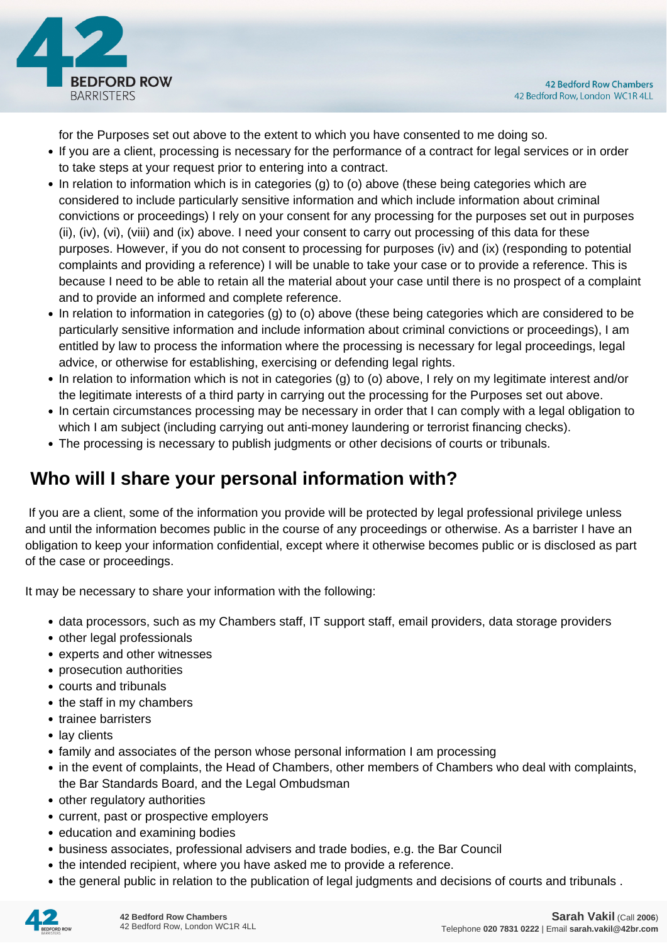

for the Purposes set out above to the extent to which you have consented to me doing so.

- If you are a client, processing is necessary for the performance of a contract for legal services or in order to take steps at your request prior to entering into a contract.
- In relation to information which is in categories (g) to (o) above (these being categories which are considered to include particularly sensitive information and which include information about criminal convictions or proceedings) I rely on your consent for any processing for the purposes set out in purposes (ii), (iv), (vi), (viii) and (ix) above. I need your consent to carry out processing of this data for these purposes. However, if you do not consent to processing for purposes (iv) and (ix) (responding to potential complaints and providing a reference) I will be unable to take your case or to provide a reference. This is because I need to be able to retain all the material about your case until there is no prospect of a complaint and to provide an informed and complete reference.
- In relation to information in categories (g) to (o) above (these being categories which are considered to be particularly sensitive information and include information about criminal convictions or proceedings), I am entitled by law to process the information where the processing is necessary for legal proceedings, legal advice, or otherwise for establishing, exercising or defending legal rights.
- In relation to information which is not in categories (g) to (o) above, I rely on my legitimate interest and/or the legitimate interests of a third party in carrying out the processing for the Purposes set out above.
- In certain circumstances processing may be necessary in order that I can comply with a legal obligation to which I am subject (including carrying out anti-money laundering or terrorist financing checks).
- The processing is necessary to publish judgments or other decisions of courts or tribunals.

# **Who will I share your personal information with?**

 If you are a client, some of the information you provide will be protected by legal professional privilege unless and until the information becomes public in the course of any proceedings or otherwise. As a barrister I have an obligation to keep your information confidential, except where it otherwise becomes public or is disclosed as part of the case or proceedings.

It may be necessary to share your information with the following:

- data processors, such as my Chambers staff, IT support staff, email providers, data storage providers
- other legal professionals
- experts and other witnesses
- prosecution authorities
- courts and tribunals
- the staff in my chambers
- trainee barristers
- lay clients
- family and associates of the person whose personal information I am processing
- in the event of complaints, the Head of Chambers, other members of Chambers who deal with complaints, the Bar Standards Board, and the Legal Ombudsman
- other regulatory authorities
- current, past or prospective employers
- education and examining bodies
- business associates, professional advisers and trade bodies, e.g. the Bar Council
- the intended recipient, where you have asked me to provide a reference.
- the general public in relation to the publication of legal judgments and decisions of courts and tribunals .

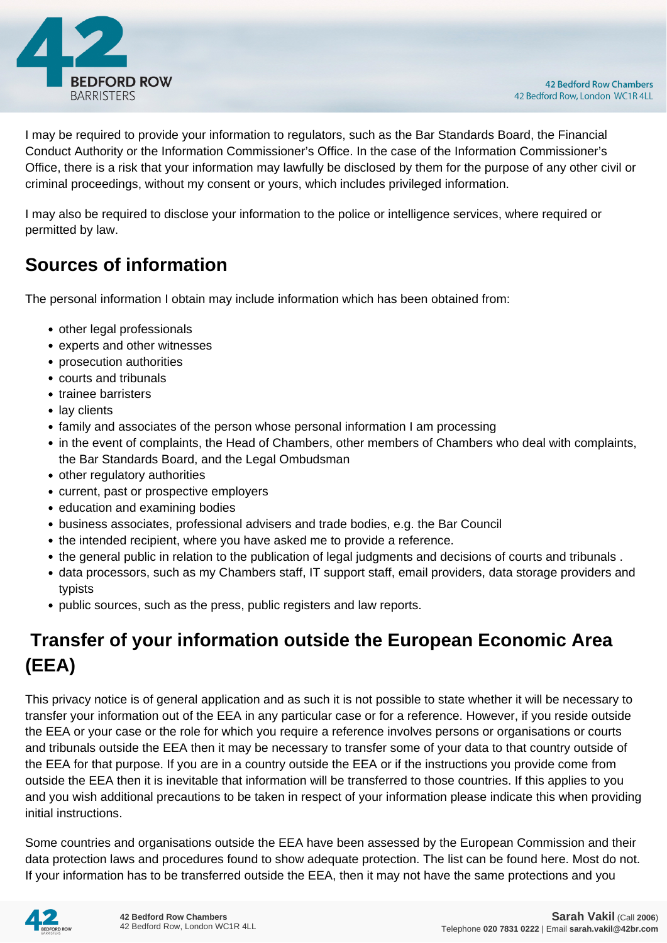

I may be required to provide your information to regulators, such as the Bar Standards Board, the Financial Conduct Authority or the Information Commissioner's Office. In the case of the Information Commissioner's Office, there is a risk that your information may lawfully be disclosed by them for the purpose of any other civil or criminal proceedings, without my consent or yours, which includes privileged information.

I may also be required to disclose your information to the police or intelligence services, where required or permitted by law.

# **Sources of information**

The personal information I obtain may include information which has been obtained from:

- other legal professionals
- experts and other witnesses
- prosecution authorities
- courts and tribunals
- trainee barristers
- lay clients
- family and associates of the person whose personal information I am processing
- in the event of complaints, the Head of Chambers, other members of Chambers who deal with complaints, the Bar Standards Board, and the Legal Ombudsman
- other regulatory authorities
- current, past or prospective employers
- education and examining bodies
- business associates, professional advisers and trade bodies, e.g. the Bar Council
- the intended recipient, where you have asked me to provide a reference.
- the general public in relation to the publication of legal judgments and decisions of courts and tribunals .
- data processors, such as my Chambers staff, IT support staff, email providers, data storage providers and typists
- public sources, such as the press, public registers and law reports.

# **Transfer of your information outside the European Economic Area (EEA)**

This privacy notice is of general application and as such it is not possible to state whether it will be necessary to transfer your information out of the EEA in any particular case or for a reference. However, if you reside outside the EEA or your case or the role for which you require a reference involves persons or organisations or courts and tribunals outside the EEA then it may be necessary to transfer some of your data to that country outside of the EEA for that purpose. If you are in a country outside the EEA or if the instructions you provide come from outside the EEA then it is inevitable that information will be transferred to those countries. If this applies to you and you wish additional precautions to be taken in respect of your information please indicate this when providing initial instructions.

Some countries and organisations outside the EEA have been assessed by the European Commission and their data protection laws and procedures found to show adequate protection. The list can be found here. Most do not. If your information has to be transferred outside the EEA, then it may not have the same protections and you

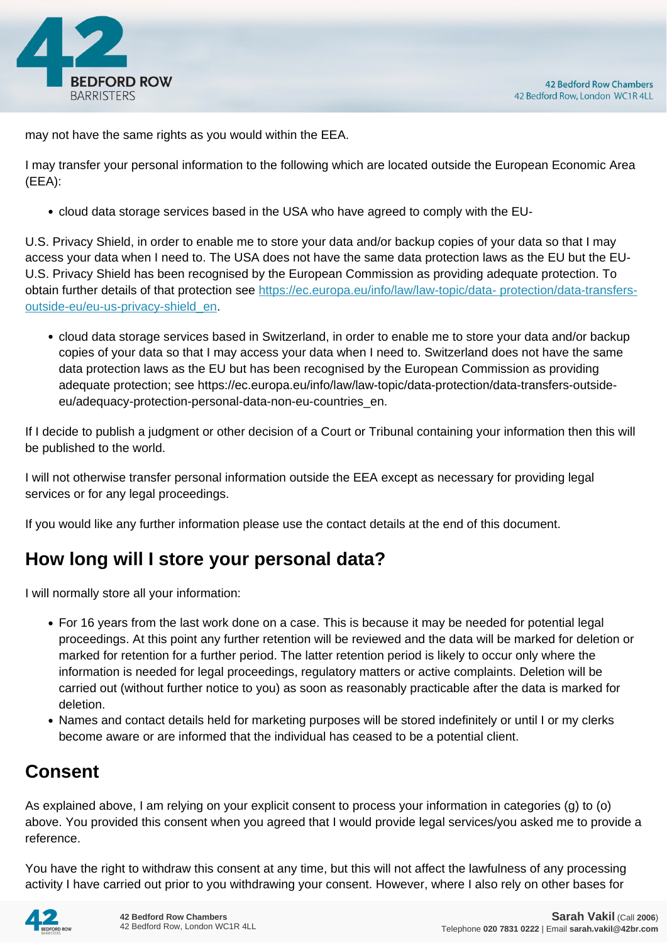

may not have the same rights as you would within the EEA.

I may transfer your personal information to the following which are located outside the European Economic Area (EEA):

cloud data storage services based in the USA who have agreed to comply with the EU-

U.S. Privacy Shield, in order to enable me to store your data and/or backup copies of your data so that I may access your data when I need to. The USA does not have the same data protection laws as the EU but the EU-U.S. Privacy Shield has been recognised by the European Commission as providing adequate protection. To obtain further details of that protection see [https://ec.europa.eu/info/law/law-topic/data- protection/data-transfers](https://ec.europa.eu/info/law/law-topic/data- protection/data-transfers-outside-eu/eu-us-privacy-shield_en)[outside-eu/eu-us-privacy-shield\\_en.](https://ec.europa.eu/info/law/law-topic/data- protection/data-transfers-outside-eu/eu-us-privacy-shield_en)

cloud data storage services based in Switzerland, in order to enable me to store your data and/or backup copies of your data so that I may access your data when I need to. Switzerland does not have the same data protection laws as the EU but has been recognised by the European Commission as providing adequate protection; see https://ec.europa.eu/info/law/law-topic/data-protection/data-transfers-outsideeu/adequacy-protection-personal-data-non-eu-countries\_en.

If I decide to publish a judgment or other decision of a Court or Tribunal containing your information then this will be published to the world.

I will not otherwise transfer personal information outside the EEA except as necessary for providing legal services or for any legal proceedings.

If you would like any further information please use the contact details at the end of this document.

# **How long will I store your personal data?**

I will normally store all your information:

- For 16 years from the last work done on a case. This is because it may be needed for potential legal proceedings. At this point any further retention will be reviewed and the data will be marked for deletion or marked for retention for a further period. The latter retention period is likely to occur only where the information is needed for legal proceedings, regulatory matters or active complaints. Deletion will be carried out (without further notice to you) as soon as reasonably practicable after the data is marked for deletion.
- Names and contact details held for marketing purposes will be stored indefinitely or until I or my clerks become aware or are informed that the individual has ceased to be a potential client.

# **Consent**

As explained above, I am relying on your explicit consent to process your information in categories (g) to (o) above. You provided this consent when you agreed that I would provide legal services/you asked me to provide a reference.

You have the right to withdraw this consent at any time, but this will not affect the lawfulness of any processing activity I have carried out prior to you withdrawing your consent. However, where I also rely on other bases for

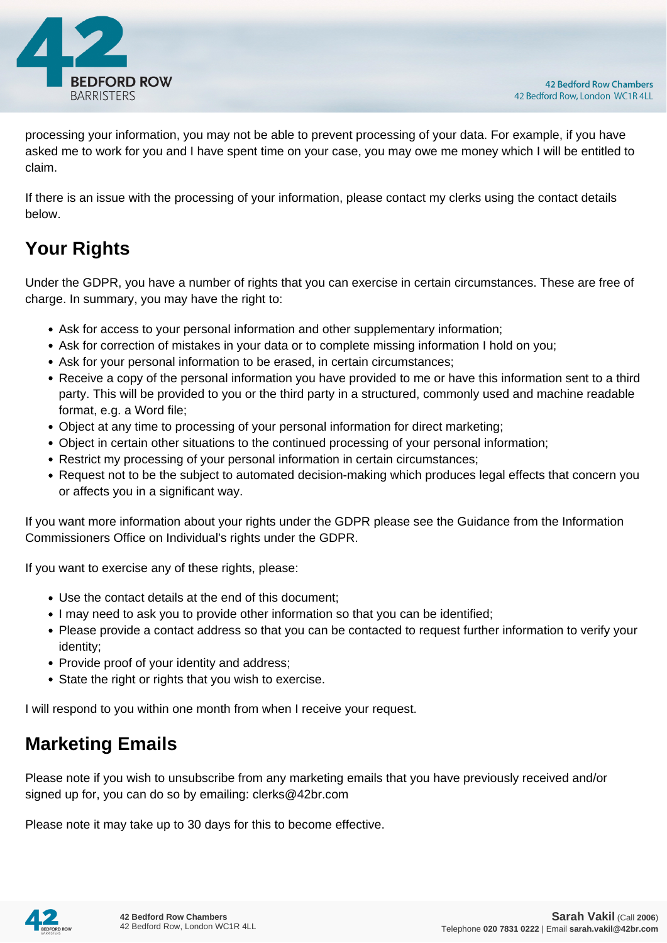

processing your information, you may not be able to prevent processing of your data. For example, if you have asked me to work for you and I have spent time on your case, you may owe me money which I will be entitled to claim.

If there is an issue with the processing of your information, please contact my clerks using the contact details below.

# **Your Rights**

Under the GDPR, you have a number of rights that you can exercise in certain circumstances. These are free of charge. In summary, you may have the right to:

- Ask for access to your personal information and other supplementary information;
- Ask for correction of mistakes in your data or to complete missing information I hold on you;
- Ask for your personal information to be erased, in certain circumstances;
- Receive a copy of the personal information you have provided to me or have this information sent to a third party. This will be provided to you or the third party in a structured, commonly used and machine readable format, e.g. a Word file;
- Object at any time to processing of your personal information for direct marketing;
- Object in certain other situations to the continued processing of your personal information;
- Restrict my processing of your personal information in certain circumstances;
- Request not to be the subject to automated decision-making which produces legal effects that concern you or affects you in a significant way.

If you want more information about your rights under the GDPR please see the Guidance from the Information Commissioners Office on Individual's rights under the GDPR.

If you want to exercise any of these rights, please:

- Use the contact details at the end of this document;
- I may need to ask you to provide other information so that you can be identified;
- Please provide a contact address so that you can be contacted to request further information to verify your identity;
- Provide proof of your identity and address;
- State the right or rights that you wish to exercise.

I will respond to you within one month from when I receive your request.

# **Marketing Emails**

Please note if you wish to unsubscribe from any marketing emails that you have previously received and/or signed up for, you can do so by emailing: clerks@42br.com

Please note it may take up to 30 days for this to become effective.